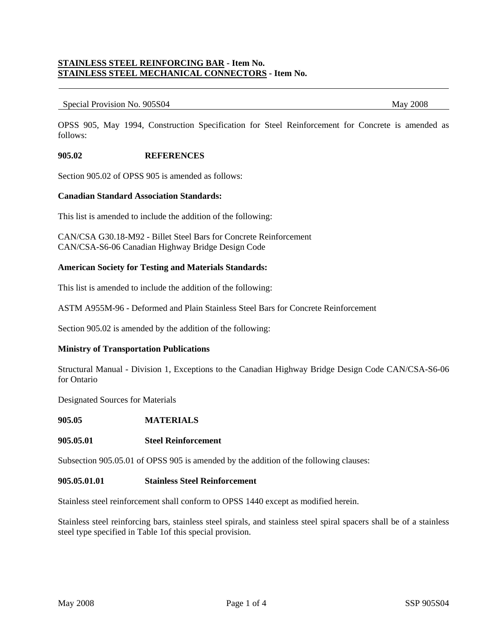# **STAINLESS STEEL REINFORCING BAR - Item No. STAINLESS STEEL MECHANICAL CONNECTORS - Item No.**

#### Special Provision No. 905S04 May 2008

OPSS 905, May 1994, Construction Specification for Steel Reinforcement for Concrete is amended as follows:

#### **905.02 REFERENCES**

Section 905.02 of OPSS 905 is amended as follows:

#### **Canadian Standard Association Standards:**

This list is amended to include the addition of the following:

CAN/CSA G30.18-M92 - Billet Steel Bars for Concrete Reinforcement CAN/CSA-S6-06 Canadian Highway Bridge Design Code

## **American Society for Testing and Materials Standards:**

This list is amended to include the addition of the following:

ASTM A955M-96 - Deformed and Plain Stainless Steel Bars for Concrete Reinforcement

Section 905.02 is amended by the addition of the following:

#### **Ministry of Transportation Publications**

Structural Manual - Division 1, Exceptions to the Canadian Highway Bridge Design Code CAN/CSA-S6-06 for Ontario

Designated Sources for Materials

**905.05 MATERIALS**

#### **905.05.01 Steel Reinforcement**

Subsection 905.05.01 of OPSS 905 is amended by the addition of the following clauses:

#### **905.05.01.01 Stainless Steel Reinforcement**

Stainless steel reinforcement shall conform to OPSS 1440 except as modified herein.

Stainless steel reinforcing bars, stainless steel spirals, and stainless steel spiral spacers shall be of a stainless steel type specified in Table 1of this special provision.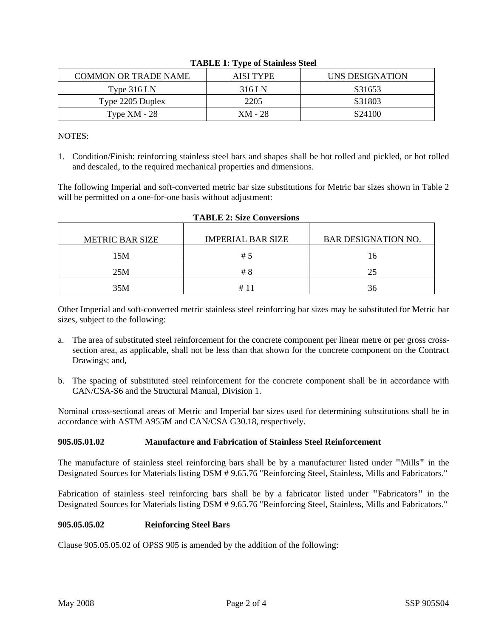|                      | --        |                 |
|----------------------|-----------|-----------------|
| COMMON OR TRADE NAME | AISI TYPE | UNS DESIGNATION |
| Type $316$ LN        | 316 LN    | S31653          |
| Type 2205 Duplex     | 2205      | S31803          |
| Type $XM - 28$       | $XM - 28$ | S24100          |

| <b>TABLE 1: Type of Stainless Steel</b> |  |  |  |  |  |  |
|-----------------------------------------|--|--|--|--|--|--|
|-----------------------------------------|--|--|--|--|--|--|

NOTES:

1. Condition/Finish: reinforcing stainless steel bars and shapes shall be hot rolled and pickled, or hot rolled and descaled, to the required mechanical properties and dimensions.

The following Imperial and soft-converted metric bar size substitutions for Metric bar sizes shown in Table 2 will be permitted on a one-for-one basis without adjustment:

| <b>METRIC BAR SIZE</b> | <b>IMPERIAL BAR SIZE</b> | <b>BAR DESIGNATION NO.</b> |
|------------------------|--------------------------|----------------------------|
| 15M                    | # 5                      | 16                         |
| 25M                    | # 8                      | 25                         |
| 35M                    | #                        | 36                         |

|  |  | <b>TABLE 2: Size Conversions</b> |
|--|--|----------------------------------|
|--|--|----------------------------------|

Other Imperial and soft-converted metric stainless steel reinforcing bar sizes may be substituted for Metric bar sizes, subject to the following:

- a. The area of substituted steel reinforcement for the concrete component per linear metre or per gross crosssection area, as applicable, shall not be less than that shown for the concrete component on the Contract Drawings; and,
- b. The spacing of substituted steel reinforcement for the concrete component shall be in accordance with CAN/CSA-S6 and the Structural Manual, Division 1.

Nominal cross-sectional areas of Metric and Imperial bar sizes used for determining substitutions shall be in accordance with ASTM A955M and CAN/CSA G30.18, respectively.

# **905.05.01.02 Manufacture and Fabrication of Stainless Steel Reinforcement**

The manufacture of stainless steel reinforcing bars shall be by a manufacturer listed under "Mills" in the Designated Sources for Materials listing DSM # 9.65.76 "Reinforcing Steel, Stainless, Mills and Fabricators."

Fabrication of stainless steel reinforcing bars shall be by a fabricator listed under "Fabricators" in the Designated Sources for Materials listing DSM # 9.65.76 "Reinforcing Steel, Stainless, Mills and Fabricators."

# **905.05.05.02 Reinforcing Steel Bars**

Clause 905.05.05.02 of OPSS 905 is amended by the addition of the following: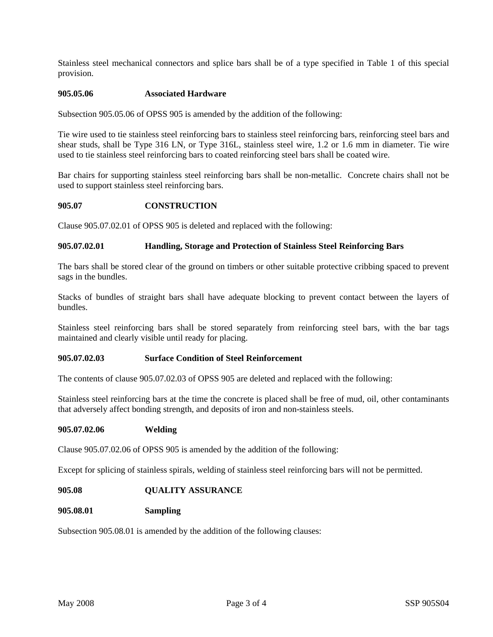Stainless steel mechanical connectors and splice bars shall be of a type specified in Table 1 of this special provision.

# **905.05.06 Associated Hardware**

Subsection 905.05.06 of OPSS 905 is amended by the addition of the following:

Tie wire used to tie stainless steel reinforcing bars to stainless steel reinforcing bars, reinforcing steel bars and shear studs, shall be Type 316 LN, or Type 316L, stainless steel wire, 1.2 or 1.6 mm in diameter. Tie wire used to tie stainless steel reinforcing bars to coated reinforcing steel bars shall be coated wire.

Bar chairs for supporting stainless steel reinforcing bars shall be non-metallic. Concrete chairs shall not be used to support stainless steel reinforcing bars.

# **905.07 CONSTRUCTION**

Clause 905.07.02.01 of OPSS 905 is deleted and replaced with the following:

# **905.07.02.01 Handling, Storage and Protection of Stainless Steel Reinforcing Bars**

The bars shall be stored clear of the ground on timbers or other suitable protective cribbing spaced to prevent sags in the bundles.

Stacks of bundles of straight bars shall have adequate blocking to prevent contact between the layers of bundles.

Stainless steel reinforcing bars shall be stored separately from reinforcing steel bars, with the bar tags maintained and clearly visible until ready for placing.

# **905.07.02.03 Surface Condition of Steel Reinforcement**

The contents of clause 905.07.02.03 of OPSS 905 are deleted and replaced with the following:

Stainless steel reinforcing bars at the time the concrete is placed shall be free of mud, oil, other contaminants that adversely affect bonding strength, and deposits of iron and non-stainless steels.

## **905.07.02.06 Welding**

Clause 905.07.02.06 of OPSS 905 is amended by the addition of the following:

Except for splicing of stainless spirals, welding of stainless steel reinforcing bars will not be permitted.

## **905.08 QUALITY ASSURANCE**

## **905.08.01 Sampling**

Subsection 905.08.01 is amended by the addition of the following clauses: